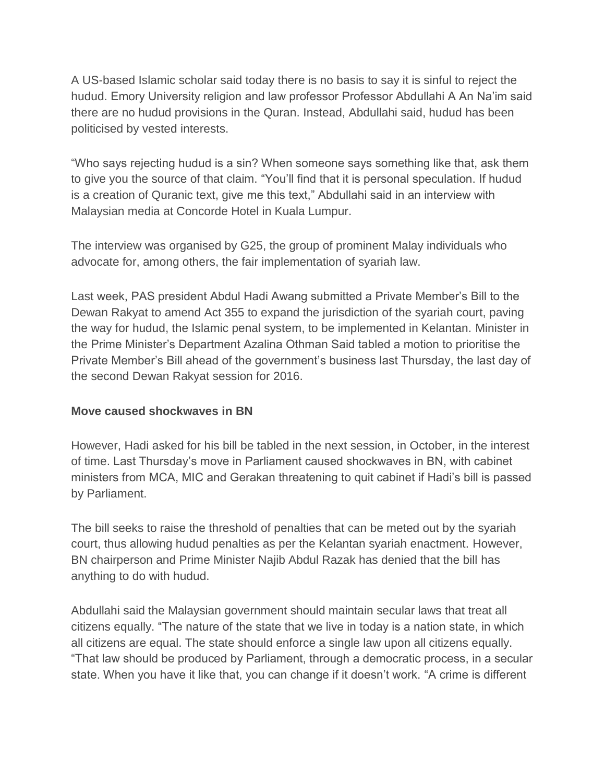A US-based Islamic scholar said today there is no basis to say it is sinful to reject the hudud. Emory University religion and law professor Professor Abdullahi A An Na'im said there are no hudud provisions in the Quran. Instead, Abdullahi said, hudud has been politicised by vested interests.

"Who says rejecting hudud is a sin? When someone says something like that, ask them to give you the source of that claim. "You'll find that it is personal speculation. If hudud is a creation of Quranic text, give me this text," Abdullahi said in an interview with Malaysian media at Concorde Hotel in Kuala Lumpur.

The interview was organised by G25, the group of prominent Malay individuals who advocate for, among others, the fair implementation of syariah law.

Last week, PAS president Abdul Hadi Awang submitted a Private Member's Bill to the Dewan Rakyat to amend Act 355 to expand the jurisdiction of the syariah court, paving the way for hudud, the Islamic penal system, to be implemented in Kelantan. Minister in the Prime Minister's Department Azalina Othman Said tabled a motion to prioritise the Private Member's Bill ahead of the government's business last Thursday, the last day of the second Dewan Rakyat session for 2016.

## **Move caused shockwaves in BN**

However, Hadi asked for his bill be tabled in the next session, in October, in the interest of time. Last Thursday's move in Parliament caused shockwaves in BN, with cabinet ministers from MCA, MIC and Gerakan threatening to quit cabinet if Hadi's bill is passed by Parliament.

The bill seeks to raise the threshold of penalties that can be meted out by the syariah court, thus allowing hudud penalties as per the Kelantan syariah enactment. However, BN chairperson and Prime Minister Najib Abdul Razak has denied that the bill has anything to do with hudud.

Abdullahi said the Malaysian government should maintain secular laws that treat all citizens equally. "The nature of the state that we live in today is a nation state, in which all citizens are equal. The state should enforce a single law upon all citizens equally. "That law should be produced by Parliament, through a democratic process, in a secular state. When you have it like that, you can change if it doesn't work. "A crime is different